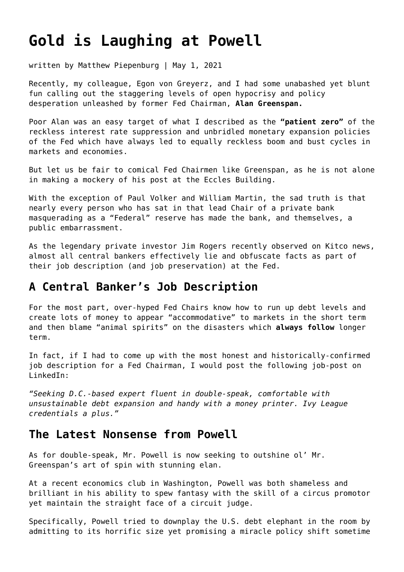# **[Gold is Laughing at Powell](https://goldswitzerland.com/gold-is-laughing-at-powell/)**

written by Matthew Piepenburg | May 1, 2021

Recently, my colleague, Egon von Greyerz, and I had some unabashed yet blunt fun calling out the staggering levels of open hypocrisy and policy desperation unleashed by former Fed Chairman, **[Alan Greenspan.](https://goldswitzerland.com/fed-heads-lose-their-head/)**

Poor Alan was an easy target of what I described as the **["patient zero"](https://goldswitzerland.com/patient-zero-of-the-bubble-pandemic-alan-greenspan/)** of the reckless interest rate suppression and unbridled monetary expansion policies of the Fed which have always led to equally reckless boom and bust cycles in markets and economies.

But let us be fair to comical Fed Chairmen like Greenspan, as he is not alone in making a mockery of his post at the Eccles Building.

With the exception of Paul Volker and William Martin, the sad truth is that nearly every person who has sat in that lead Chair of a private bank masquerading as a "Federal" reserve has made the bank, and themselves, a public embarrassment.

As the legendary private investor Jim Rogers recently observed on Kitco news, almost all central bankers effectively lie and obfuscate facts as part of their job description (and job preservation) at the Fed.

#### **A Central Banker's Job Description**

For the most part, over-hyped Fed Chairs know how to run up debt levels and create lots of money to appear "accommodative" to markets in the short term and then blame "animal spirits" on the disasters which **[always follow](https://goldswitzerland.com/golden-advice-bet-against-the-experts/)** longer term.

In fact, if I had to come up with the most honest and historically-confirmed job description for a Fed Chairman, I would post the following job-post on LinkedIn:

*"Seeking D.C.-based expert fluent in double-speak, comfortable with unsustainable debt expansion and handy with a money printer. Ivy League credentials a plus."*

#### **The Latest Nonsense from Powell**

As for double-speak, Mr. Powell is now seeking to outshine ol' Mr. Greenspan's art of spin with stunning elan.

At a recent economics club in Washington, Powell was both shameless and brilliant in his ability to spew fantasy with the skill of a circus promotor yet maintain the straight face of a circuit judge.

Specifically, Powell tried to downplay the U.S. debt elephant in the room by admitting to its horrific size yet promising a miracle policy shift sometime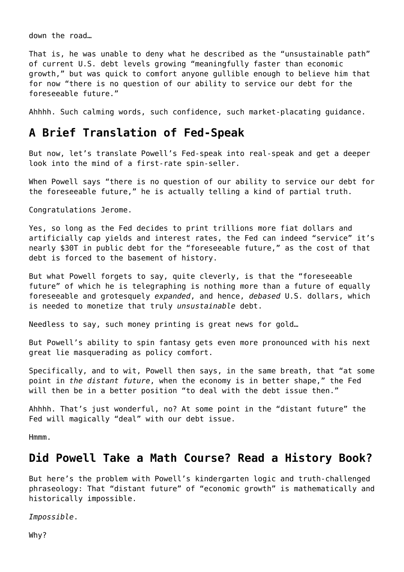down the road…

That is, he was unable to deny what he described as the "unsustainable path" of current U.S. debt levels growing "meaningfully faster than economic growth," but was quick to comfort anyone gullible enough to believe him that for now "there is no question of our ability to service our debt for the foreseeable future."

Ahhhh. Such calming words, such confidence, such market-placating guidance.

#### **A Brief Translation of Fed-Speak**

But now, let's translate Powell's Fed-speak into real-speak and get a deeper look into the mind of a first-rate spin-seller.

When Powell says "there is no question of our ability to service our debt for the foreseeable future," he is actually telling a kind of partial truth.

Congratulations Jerome.

Yes, so long as the Fed decides to print trillions more fiat dollars and artificially cap yields and interest rates, the Fed can indeed "service" it's nearly \$30T in public debt for the "foreseeable future," as the cost of that debt is forced to the basement of history.

But what Powell forgets to say, quite cleverly, is that the "foreseeable future" of which he is telegraphing is nothing more than a future of equally foreseeable and grotesquely *expanded*, and hence, *debased* U.S. dollars, which is needed to monetize that truly *unsustainable* debt.

Needless to say, such money printing is great news for gold…

But Powell's ability to spin fantasy gets even more pronounced with his next great lie masquerading as policy comfort.

Specifically, and to wit, Powell then says, in the same breath, that "at some point in *the distant future*, when the economy is in better shape," the Fed will then be in a better position "to deal with the debt issue then."

Ahhhh. That's just wonderful, no? At some point in the "distant future" the Fed will magically "deal" with our debt issue.

Hmmm.

#### **Did Powell Take a Math Course? Read a History Book?**

But here's the problem with Powell's kindergarten logic and truth-challenged phraseology: That "distant future" of "economic growth" is mathematically and historically impossible.

*Impossible*.

Why?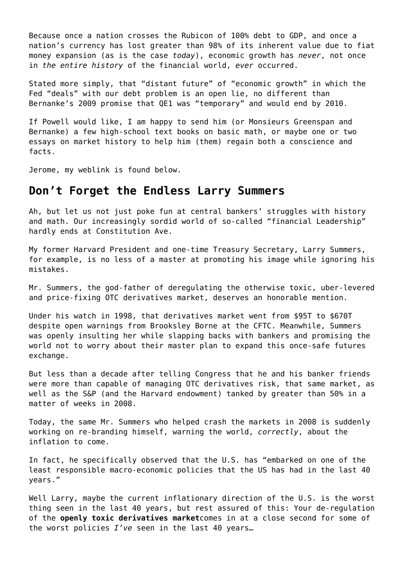Because once a nation crosses the Rubicon of 100% debt to GDP, and once a nation's currency has lost greater than 98% of its inherent value due to fiat money expansion (as is the case *today*), economic growth has *never*, not once in *the entire history* of the financial world, *ever* occurred.

Stated more simply, that "distant future" of "economic growth" in which the Fed "deals" with our debt problem is an open lie, no different than Bernanke's 2009 promise that QE1 was "temporary" and would end by 2010.

If Powell would like, I am happy to send him (or Monsieurs Greenspan and Bernanke) a few high-school text books on basic math, or maybe one or two essays on market history to help him (them) regain both a conscience and facts.

Jerome, my weblink is found below.

## **Don't Forget the Endless Larry Summers**

Ah, but let us not just poke fun at central bankers' struggles with history and math. Our increasingly sordid world of so-called "financial Leadership" hardly ends at Constitution Ave.

My former Harvard President and one-time Treasury Secretary, Larry Summers, for example, is no less of a master at promoting his image while ignoring his mistakes.

Mr. Summers, the god-father of deregulating the otherwise toxic, uber-levered and price-fixing OTC derivatives market, deserves an honorable mention.

Under his watch in 1998, that derivatives market went from \$95T to \$670T despite open warnings from Brooksley Borne at the CFTC. Meanwhile, Summers was openly insulting her while slapping backs with bankers and promising the world not to worry about their master plan to expand this once-safe futures exchange.

But less than a decade after telling Congress that he and his banker friends were more than capable of managing OTC derivatives risk, that same market, as well as the S&P (and the Harvard endowment) tanked by greater than 50% in a matter of weeks in 2008.

Today, the same Mr. Summers who helped crash the markets in 2008 is suddenly working on re-branding himself, warning the world, *correctly*, about the inflation to come.

In fact, he specifically observed that the U.S. has "embarked on one of the least responsible macro-economic policies that the US has had in the last 40 years."

Well Larry, maybe the current inflationary direction of the U.S. is the worst thing seen in the last 40 years, but rest assured of this: Your de-regulation of the **[openly toxic derivatives market](https://goldswitzerland.com/making-sense-of-comex-insanity/)**comes in at a close second for some of the worst policies *I've* seen in the last 40 years…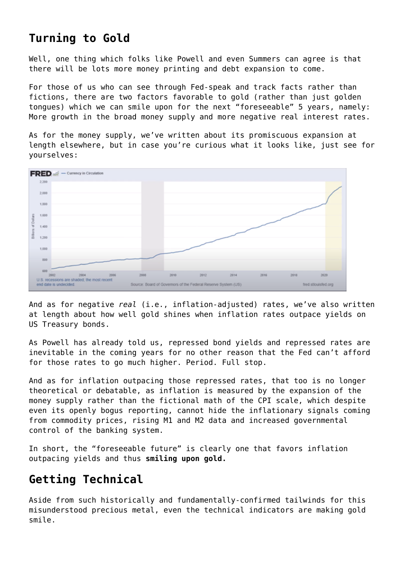# **Turning to Gold**

Well, one thing which folks like Powell and even Summers can agree is that there will be lots more money printing and debt expansion to come.

For those of us who can see through Fed-speak and track facts rather than fictions, there are two factors favorable to gold (rather than just golden tongues) which we can smile upon for the next "foreseeable" 5 years, namely: More growth in the broad money supply and more negative real interest rates.

As for the money supply, we've written about its promiscuous expansion at length elsewhere, but in case you're curious what it looks like, just see for yourselves:



And as for negative *real* (i.e., inflation-adjusted) rates, we've also written at length about how well gold shines when inflation rates outpace yields on US Treasury bonds.

As Powell has already told us, repressed bond yields and repressed rates are inevitable in the coming years for no other reason that the Fed can't afford for those rates to go much higher. Period. Full stop.

And as for inflation outpacing those repressed rates, that too is no longer theoretical or debatable, as inflation is measured by the expansion of the money supply rather than the fictional math of the CPI scale, which despite even its openly bogus reporting, cannot hide the inflationary signals coming from commodity prices, rising M1 and M2 data and increased governmental control of the banking system.

In short, the "foreseeable future" is clearly one that favors inflation outpacing yields and thus **[smiling upon gold](https://goldswitzerland.com/a-golden-indicator-worth-knowing/).**

## **Getting Technical**

Aside from such historically and fundamentally-confirmed tailwinds for this misunderstood precious metal, even the technical indicators are making gold smile.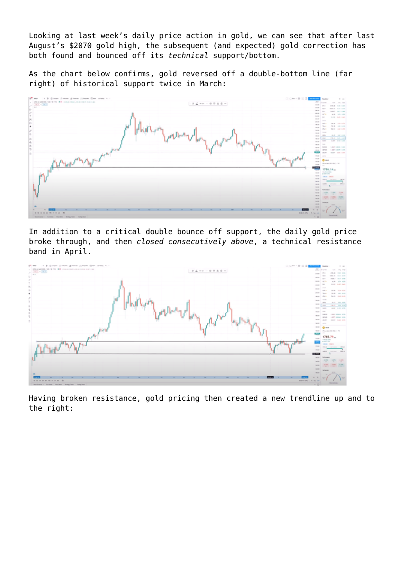Looking at last week's daily price action in gold, we can see that after last August's \$2070 gold high, the subsequent (and expected) gold correction has both found and bounced off its *technical* support/bottom.

As the chart below confirms, gold reversed off a double-bottom line (far right) of historical support twice in March:



In addition to a critical double bounce off support, the daily gold price broke through, and then *closed consecutively above*, a technical resistance band in April.



Having broken resistance, gold pricing then created a new trendline up and to the right: